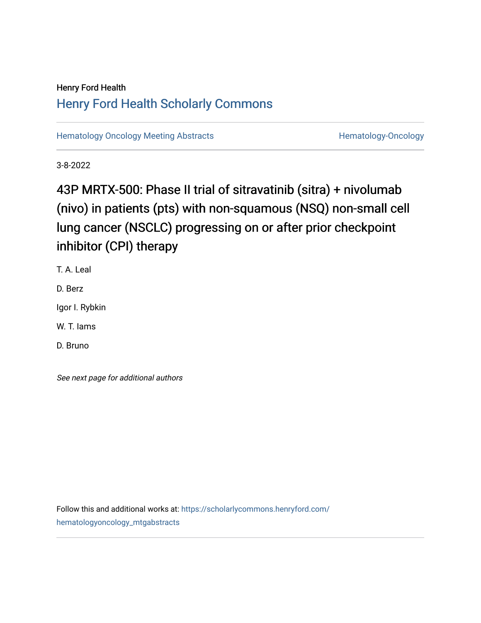# Henry Ford Health [Henry Ford Health Scholarly Commons](https://scholarlycommons.henryford.com/)

[Hematology Oncology Meeting Abstracts](https://scholarlycommons.henryford.com/hematologyoncology_mtgabstracts) **Hematology-Oncology** Hematology-Oncology

3-8-2022

# 43P MRTX-500: Phase II trial of sitravatinib (sitra) + nivolumab (nivo) in patients (pts) with non-squamous (NSQ) non-small cell lung cancer (NSCLC) progressing on or after prior checkpoint inhibitor (CPI) therapy

T. A. Leal

D. Berz

Igor I. Rybkin

W. T. Iams

D. Bruno

See next page for additional authors

Follow this and additional works at: [https://scholarlycommons.henryford.com/](https://scholarlycommons.henryford.com/hematologyoncology_mtgabstracts?utm_source=scholarlycommons.henryford.com%2Fhematologyoncology_mtgabstracts%2F102&utm_medium=PDF&utm_campaign=PDFCoverPages) [hematologyoncology\\_mtgabstracts](https://scholarlycommons.henryford.com/hematologyoncology_mtgabstracts?utm_source=scholarlycommons.henryford.com%2Fhematologyoncology_mtgabstracts%2F102&utm_medium=PDF&utm_campaign=PDFCoverPages)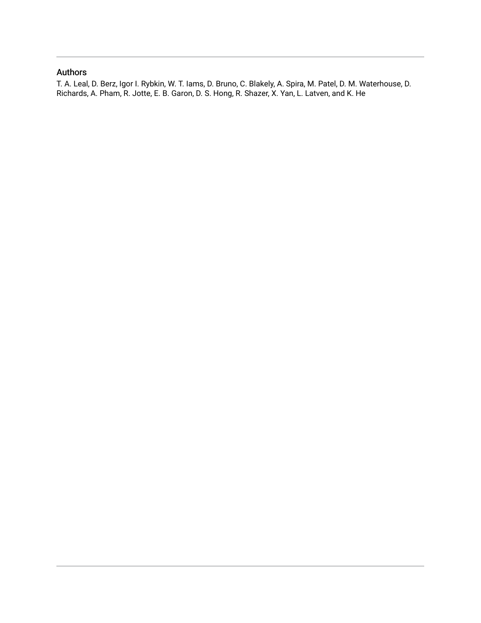## Authors

T. A. Leal, D. Berz, Igor I. Rybkin, W. T. Iams, D. Bruno, C. Blakely, A. Spira, M. Patel, D. M. Waterhouse, D. Richards, A. Pham, R. Jotte, E. B. Garon, D. S. Hong, R. Shazer, X. Yan, L. Latven, and K. He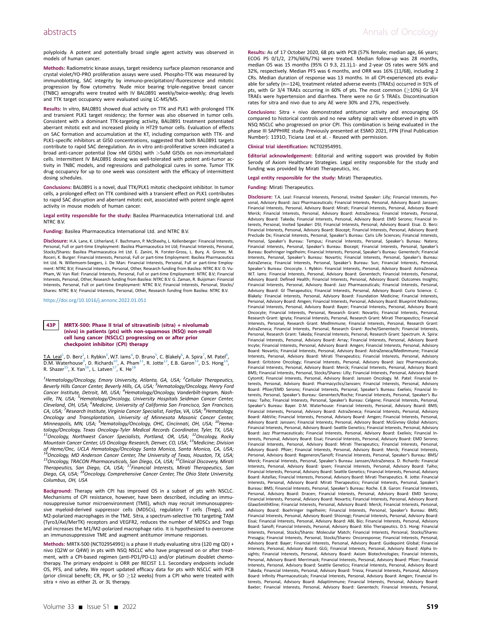polyploidy. A potent and potentially broad single agent activity was observed in models of human cancer.

Methods: Radiometric kinase assays, target residency surface plasmon resonance and crystal violet/YO-PRO proliferation assays were used. Phospho-TTK was measured by immunoblotting, SAC integrity by immuno-precipitation/-fluorescence and mitotic progression by flow cytometry. Nude mice bearing triple-negative breast cancer (TNBC) xenografts were treated with IV BAL0891 weekly/twice-weekly; drug levels and TTK target occupancy were evaluated using LC-MS/MS.

Results: In vitro, BAL0891 showed dual activity on TTK and PLK1 with prolonged TTK and transient PLK1 target residency; the former was also observed in tumor cells. Consistent with a dominant TTK-targeting activity, BAL0891 treatment potentiated aberrant mitotic exit and increased ploidy in HT29 tumor cells. Evaluation of effects on SAC formation and accumulation at the KT, including comparison with TTK- and PLK1-specific inhibitors at GI50 concentrations, suggested that both BAL0891 targets contribute to rapid SAC deregulation. An in vitro anti-proliferative screen indicated a broad anti-cancer potential (low nM GI50s) with >5uM GI50s on non-immortalized cells. Intermittent IV BAL0891 dosing was well-tolerated with potent anti-tumor activity in TNBC models, and regressions and pathological cures in some. Tumor TTK drug occupancy for up to one week was consistent with the efficacy of intermittent dosing schedules.

Conclusions: BAL0891 is a novel, dual TTK/PLK1 mitotic checkpoint inhibitor. In tumor cells, a prolonged effect on TTK combined with a transient effect on PLK1 contributes to rapid SAC disruption and aberrant mitotic exit, associated with potent single agent activity in mouse models of human cancer.

Legal entity responsible for the study: Basilea Pharmaceutica International Ltd. and NTRC B.V.

Funding: Basilea Pharmaceutica International Ltd. and NTRC B.V.

Disclosure: H.A. Lane, K. Litherland, F. Bachmann, P. McSheehy, L. Kellenberger: Financial Interests, Personal, Full or part-time Employment: Basilea Pharmaceutica Int Ltd; Financial Interests, Personal, Stocks/Shares: Basilea Pharmaceutica Int Ltd. E. Zanini, N. Forster-Gross, L. Bury, A. Groner, M. Roceri, K. Burger: Financial Interests, Personal, Full or part-time Employment: Basilea Pharmaceutica Int Ltd. N. Willemsem-Seegers, J. De Man: Financial Interests, Personal, Full or part-time Employ-ment: NTRC B.V; Financial Interests, Personal, Other, Research funding from Basilea: NTRC B.V. D. Vu-Pham, W. Van Riel: Financial Interests, Personal, Full or part-time Employment: NTRC B.V; Financial Interests, Personal, Other, Research funding from Basilea: NTRC B.V. G. Zaman, R. Buijsman: Financial Interests, Personal, Full or part-time Employment: NTRC B.V; Financial Interests, Personal, Stocks/ Shares: NTRC B.V; Financial Interests, Personal, Other, Research funding from Basilea: NTRC B.V.

https://doi.org/[10.1016/j.annonc.2022.01.051](https://doi.org/10.1016/j.annonc.2022.01.051)

#### 43P MRTX-500: Phase II trial of sitravatinib (sitra) + nivolumab (nivo) in patients (pts) with non-squamous (NSQ) non-small cell lung cancer (NSCLC) progressing on or after prior checkpoint inhibitor (CPI) therapy

T.A. Leal<sup>[1](#page-2-0)</sup>, D. Berz<sup>[2](#page-2-0)</sup>, I. Rybkin<sup>[3](#page-2-1)</sup>, W.T. Iams<sup>[4](#page-2-2)</sup>, D. Bruno<sup>[5](#page-2-3)</sup>, C. Blakely<sup>[6](#page-2-4)</sup>, A. Spira<sup>7</sup>, M. Patel<sup>[8](#page-2-5)</sup>, D.M. Waterhouse<sup>9</sup>, D. Richards<sup>[10](#page-2-6)</sup>, A. Pham<sup>11</sup>, R. Jotte<sup>[12](#page-2-8)</sup>, E.B. Garon<sup>13</sup>, D.S. Hong<sup>14</sup>,<br>R. Shazer<sup>15</sup>, X. Yan<sup>16</sup>, L. Latven<sup>[17](#page-2-13)</sup>, K. He<sup>18</sup>

<span id="page-2-7"></span><span id="page-2-6"></span><span id="page-2-5"></span><span id="page-2-4"></span><span id="page-2-3"></span><span id="page-2-2"></span><span id="page-2-1"></span><span id="page-2-0"></span><sup>1</sup>Hematology/Oncology, Emory University, Atlanta, GA, USA; <sup>2</sup>Cellular Therapeutics, Beverly Hills Cancer Center, Beverly Hills, CA, USA; <sup>3</sup>Hematology/Oncology, Henry Ford Cancer Institute, Detroit, MI, USA; <sup>4</sup>Hematology/Oncology, Vanderbilt-Ingram, Nashville, TN, USA; <sup>5</sup>Hematology/Oncology, University Hospitals Seidman Cancer Center, Cleveland, OH, USA; <sup>6</sup>Medicine, University of California San Francisco, San Francisco, CA, USA; <sup>7</sup>Research Institute, Virginia Cancer Specialist, Fairfax, VA, USA; <sup>8</sup>Hematology, Oncology and Transplantation, University of Minnesota Masonic Cancer Center, Minneapolis, MN, USA; <sup>9</sup>Hematology/Oncology, OHC, Cincinnati, OH, USA; <sup>10</sup>Hematology/Oncology, Texas Oncology-Tyler Medical Records Coordinator, Tyler, TX, USA; 11 Oncology, Northwest Cancer Specialists, Portland, OR, USA; <sup>12</sup>Oncology, Rocky<br>Mountain Cancer Center, US Oncology Research, Denver, CO, USA; <sup>13</sup>Medicine; Division of Heme/Onc, UCLA Hematology/Oncology Santa Monica, Santa Monica, CA, USA;<br><sup>14</sup>Oncology, MD Anderson Cancer Center, The University of Texas, Houston, TX, USA;<br><sup>15</sup>Oncology, TRACON Pharmaceuticals, San Diego, CA, USA; <sup>16</sup>C Diego, CA, USA; <sup>18</sup>Oncology, Comprehensive Cancer Center, The Ohio State University, Columbus, OH, USA

<span id="page-2-14"></span><span id="page-2-13"></span><span id="page-2-12"></span><span id="page-2-11"></span><span id="page-2-10"></span><span id="page-2-9"></span><span id="page-2-8"></span>Background: Therapy with CPI has improved OS in a subset of pts with NSCLC. Mechanisms of CPI resistance, however, have been described, including an immunosuppressive tumor microenvironment (TME), which may recruit immunosuppressive myeloid-derived suppressor cells (MDSCs), regulatory T cells (Tregs), and M2-polarized macrophages in the TME. Sitra, a spectrum-selective TKI targeting TAM (Tyro3/Axl/MerTK) receptors and VEGFR2, reduces the number of MDSCs and Tregs and increases the M1/M2-polarized macrophage ratio. It is hypothesized to overcome an immunosuppressive TME and augment antitumor immune responses.

Methods: MRTX-500 (NCT02954991) is a phase II study evaluating sitra (120 mg QD) + nivo (Q2W or Q4W) in pts with NSQ NSCLC who have progressed on or after treatment, with a CPI-based regimen (anti-PD1/PD-L1) and/or platinum doublet chemotherapy. The primary endpoint is ORR per RECIST 1.1. Secondary endpoints include OS, PFS, and safety. We report updated efficacy data for pts with NSCLC with PCB (prior clinical benefit; CR, PR, or SD  $\geq$  12 weeks) from a CPI who were treated with sitra + nivo as either 2L or 3L therapy.

Results: As of 17 October 2020, 68 pts with PCB (57% female; median age, 66 years; ECOG PS 0/1/2, 27%/66%/7%) were treated. Median follow-up was 28 months, median OS was 15 months (95% CI 9.3, 21.1),1- and 2-year OS rates were 56% and 32%, respectively. Median PFS was 6 months, and ORR was 16% (11/68), including 2 CRs. Median duration of response was 13 months. In all CPI-experienced pts evaluable for safety ( $n=124$ ), treatment related adverse events (TRAEs) occurred in 91% of pts, with Gr 3/4 TRAEs occurring in 60% of pts. The most common ( $\geq$ 10%) Gr 3/4 TRAEs were hypertension and diarrhea. There were no Gr 5 TRAEs. Discontinuation rates for sitra and nivo due to any AE were 30% and 27%, respectively.

Conclusions: Sitra + nivo demonstrated antitumor activity and encouraging OS compared to historical controls and no new safety signals were observed in pts with NSQ NSCLC who progressed on prior CPI. This combination is being evaluated in the phase III SAPPHIRE study. Previously presented at ESMO 2021, FPN (Final Publication Number): 1191O, Ticiana Leal et al. - Reused with permission.

#### Clinical trial identification: NCT02954991.

Editorial acknowledgement: Editorial and writing support was provided by Robin Serody of Axiom Healthcare Strategies. Legal entity responsible for the study and funding was provided by Mirati Therapeutics, Inc.

Legal entity responsible for the study: Mirati Therapeutics.

Funding: Mirati Therapeutics.

Disclosure: T.A. Leal: Financial Interests, Personal, Invited Speaker: Lilly; Financial Interests, Personal, Advisory Board: Jazz Pharmaceuticals; Financial Interests, Personal, Advisory Board: Janssen; Financial Interests, Personal, Advisory Board: Mirati; Financial Interests, Personal, Advisory Board: Merck; Financial Interests, Personal, Advisory Board: AstraZeneca; Financial Interests, Personal, Advisory Board: Takeda; Financial Interests, Personal, Advisory Board: EMD Serono; Financial Interests, Personal, Invited Speaker: DSI; Financial Interests, Personal, Advisory Board: Eisai. D. Berz: Financial Interests, Personal, Advisory Board: Biocept; Financial Interests, Personal, Advisory Board: Preclude Dx; Financial Interests, Personal, Speaker's Bureau: Caris Life Sciences; Financial Interests, Personal, Speaker's Bureau: Tempus; Financial Interests, Personal, Speaker's Bureau: Natera; Financial Interests, Personal, Speaker's Bureau: Biocept; Financial Interests, Personal, Speaker's Bureau: Boehringer Ingelheim; Financial Interests, Personal, Speaker's Bureau: Genentech; Financial Interests, Personal, Speaker's Bureau: Novartis; Financial Interests, Personal, Speaker's Bureau: AstraZeneca; Financial Interests, Personal, Speaker's Bureau: Sun; Financial Interests, Personal, Speaker's Bureau: Oncocyte. I. Rybkin: Financial Interests, Personal, Advisory Board: AstraZeneca. W.T. Iams: Financial Interests, Personal, Advisory Board: Genentech; Financial Interests, Personal, Advisory Board: Defined Health; Financial Interests, Personal, Advisory Board: Outcomes Insights; Financial Interests, Personal, Advisory Board: Jazz Pharmaceuticals; Financial Interests, Personal, Advisory Board: GI Therapeutics; Financial Interests, Personal, Advisory Board: Curio Science. C. Blakely: Financial Interests, Personal, Advisory Board: Foundation Medicine; Financial Interests, Personal, Advisory Board: Amgen; Financial Interests, Personal, Advisory Board: Blueprint Medicines; Financial Interests, Personal, Advisory Board: Bayer; Financial Interests, Personal, Advisory Board: Oncocyte; Financial Interests, Personal, Research Grant: Novartis; Financial Interests, Personal, Research Grant: Ignyta; Financial Interests, Personal, Research Grant: Mirati Therapeutics; Financial Interests, Personal, Research Grant: MedImmune; Financial Interests, Personal, Research Grant: AstraZeneca; Financial Interests, Personal, Research Grant: Roche/Genentech; Financial Interests, Personal, Research Grant: Takeda; Financial Interests, Personal, Research Grant: Spectrum. A. Spira: Financial Interests, Personal, Advisory Board: Array; Financial Interests, Personal, Advisory Board: Incyte; Financial Interests, Personal, Advisory Board: Amgen; Financial Interests, Personal, Advisory Board: Novartis; Financial Interests, Personal, Advisory Board: AstraZeneca/MedImmune; Financial Interests, Personal, Advisory Board: Mirati Therapeutics; Financial Interests, Personal, Advisory Board: Gritstone Oncology; Financial Interests, Personal, Advisory Board: Jazz Pharmaceuticals; Financial Interests, Personal, Advisory Board: Merck; Financial Interests, Personal, Advisory Board: BMS; Financial Interests, Personal, Stocks/Shares: Lilly; Financial Interests, Personal, Advisory Board: CytomX; Financial Interests, Personal, Advisory Board: Janssen Oncology. M. Patel: Financial Interests, Personal, Advisory Board: Pharmacyclics/Janssen; Financial Interests, Personal, Advisory Board: Pfizer/EMD Serono; Financial Interests, Personal, Speaker's Bureau: Exelixis; Financial Interests, Personal, Speaker's Bureau: Genentech/Roche; Financial Interests, Personal, Speaker's Bureau: Taiho; Financial Interests, Personal, Speaker's Bureau: Celgene; Financial Interests, Personal, Speaker's Bureau: Bayer. D.M. Waterhouse: Financial Interests, Personal, Advisory Board: BMS; Financial Interests, Personal, Advisory Board: AstraZeneca; Financial Interests, Personal, Advisory Board: AbbVie; Financial Interests, Personal, Advisory Board: Amgen; Financial Interests, Personal, Advisory Board: Janssen; Financial Interests, Personal, Advisory Board: McGivney Global Advisors; Financial Interests, Personal, Advisory Board: Seattle Genetics; Financial Interests, Personal, Advisory Board: Jazz Pharmaceuticals; Financial Interests, Personal, Advisory Board: Exelixis; Financial Interests, Personal, Advisory Board: Eisai; Financial Interests, Personal, Advisory Board: EMD Serono; Financial Interests, Personal, Advisory Board: Mirati Therapeutics; Financial Interests, Personal, Advisory Board: Pfizer; Financial Interests, Personal, Advisory Board: Merck; Financial Interests, Personal, Advisory Board: Regeneron/Sanofi; Financial Interests, Personal, Speaker's Bureau: BMS/ Merck; Financial Interests, Personal, Speaker's Bureau: Janssen/AstraZeneca. D. Richards: Financial Interests, Personal, Advisory Board: Ipsen; Financial Interests, Personal, Advisory Board: Taiho; Financial Interests, Personal, Advisory Board: Seattle Genetics; Financial Interests, Personal, Advisory Board: Astellas; Financial Interests, Personal, Advisory Board: Mirati Therapeutics. R. Jotte: Financial Interests, Personal, Advisory Board: Mirati Therapeutics; Financial Interests, Personal, Speaker's Bureau: BMS; Financial Interests, Personal, Speaker's Bureau: Roche. E.B. Garon: Financial Interests, Personal, Advisory Board: Dracen; Financial Interests, Personal, Advisory Board: EMD Serono; Financial Interests, Personal, Advisory Board: Novartis; Financial Interests, Personal, Advisory Board: GlaxoSmithKline; Financial Interests, Personal, Advisory Board: Merck; Financial Interests, Personal, Advisory Board: Boehringer Ingelheim; Financial Interests, Personal, Speaker's Bureau: BMS; Financial Interests, Personal, Advisory Board: Shionogi; Financial Interests, Personal, Advisory Board: Eisai; Financial Interests, Personal, Advisory Board: ABL Bio; Financial Interests, Personal, Advisory Board: Sanofi; Financial Interests, Personal, Advisory Board: Xilio Therapeutics. D.S. Hong: Financial Interests, Personal, Stocks/Shares: Molecular Match; Financial Interests, Personal, Stocks/Shares: Presagia; Financial Interests, Personal, Stocks/Shares: Oncoresponse; Financial Interests, Personal, Advisory Board: Bayer; Financial Interests, Personal, Advisory Board: Guidepoint Global; Financial Interests, Personal, Advisory Board: GLG; Financial Interests, Personal, Advisory Board: Alpha Insights; Financial Interests, Personal, Advisory Board: Axiom Biotechnologies; Financial Interests, Personal, Advisory Board: Merrimack; Financial Interests, Personal, Advisory Board: Pfizer; Financial Interests, Personal, Advisory Board: Seattle Genetics; Financial Interests, Personal, Advisory Board: Takeda; Financial Interests, Personal, Advisory Board: Trieza; Financial Interests, Personal, Advisory Board: Infinity Pharmaceuticals; Financial Interests, Personal, Advisory Board: Amgen; Financial Interests, Personal, Advisory Board: Adaptimmune; Financial Interests, Personal, Advisory Board: Baxter; Financial Interests, Personal, Advisory Board: Genentech; Financial Interests, Personal,